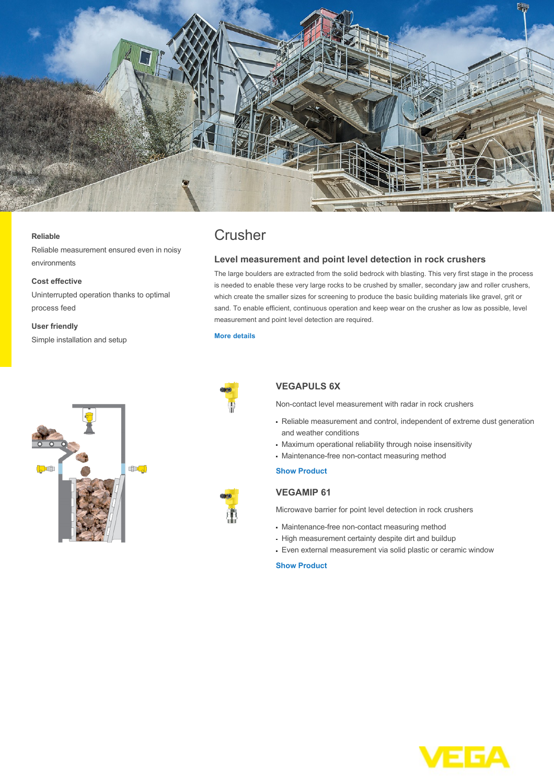

#### **Reliable**

Reliable measurement ensured even in noisy environments

#### **Cost effective**

Uninterrupted operation thanks to optimal process feed

#### **User friendly**

Simple installation and setup



# **Crusher**

# **Level measurement and point level detection in rock crushers**

The large boulders are extracted from the solid bedrock with blasting. This very first stage in the process is needed to enable these very large rocks to be crushed by smaller, secondary jaw and roller crushers, which create the smaller sizes for screening to produce the basic building materials like gravel, grit or sand. To enable efficient, continuous operation and keep wear on the crusher as low as possible, level measurement and point level detection are required.

#### **[More details](http://localhost/en-us/industries/cement-industry/crusher)**



# **VEGAPULS 6X**

Non-contact level measurement with radar in rock crushers

- Reliable measurement and control, independent of extreme dust generation and weather conditions
- Maximum operational reliability through noise insensitivity
- Maintenance-free non-contact measuring method

### **[Show Product](http://localhost/en-us/products/product-catalog/level/radar/vegapuls-6x)**

# **VEGAMIP 61**

Microwave barrier for point level detection in rock crushers

- Maintenance-free non-contact measuring method
- High measurement certainty despite dirt and buildup
- Even external measurement via solid plastic or ceramic window

## **[Show Product](http://localhost/en-us/products/product-catalog/switching/radar/vegamip-t61)**